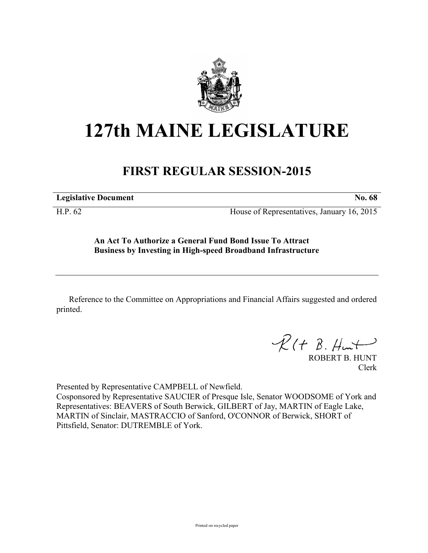

# **127th MAINE LEGISLATURE**

## **FIRST REGULAR SESSION-2015**

**Legislative Document No. 68** 

H.P. 62 House of Representatives, January 16, 2015

**An Act To Authorize a General Fund Bond Issue To Attract Business by Investing in High-speed Broadband Infrastructure**

Reference to the Committee on Appropriations and Financial Affairs suggested and ordered printed.

 $\mathcal{R}(t \; \mathcal{B}, \mathcal{H}_{\mathsf{un}})$ 

ROBERT B. HUNT Clerk

Presented by Representative CAMPBELL of Newfield.

Cosponsored by Representative SAUCIER of Presque Isle, Senator WOODSOME of York and Representatives: BEAVERS of South Berwick, GILBERT of Jay, MARTIN of Eagle Lake, MARTIN of Sinclair, MASTRACCIO of Sanford, O'CONNOR of Berwick, SHORT of Pittsfield, Senator: DUTREMBLE of York.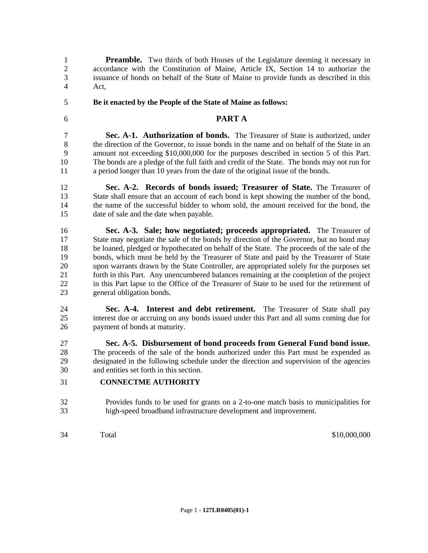**Preamble.** Two thirds of both Houses of the Legislature deeming it necessary in accordance with the Constitution of Maine, Article IX, Section 14 to authorize the issuance of bonds on behalf of the State of Maine to provide funds as described in this Act,

#### **Be it enacted by the People of the State of Maine as follows:**

### **PART A**

 **Sec. A-1. Authorization of bonds.** The Treasurer of State is authorized, under the direction of the Governor, to issue bonds in the name and on behalf of the State in an amount not exceeding \$10,000,000 for the purposes described in section 5 of this Part. The bonds are a pledge of the full faith and credit of the State. The bonds may not run for a period longer than 10 years from the date of the original issue of the bonds.

 **Sec. A-2. Records of bonds issued; Treasurer of State.** The Treasurer of State shall ensure that an account of each bond is kept showing the number of the bond, the name of the successful bidder to whom sold, the amount received for the bond, the date of sale and the date when payable.

 **Sec. A-3. Sale; how negotiated; proceeds appropriated.** The Treasurer of State may negotiate the sale of the bonds by direction of the Governor, but no bond may be loaned, pledged or hypothecated on behalf of the State. The proceeds of the sale of the bonds, which must be held by the Treasurer of State and paid by the Treasurer of State upon warrants drawn by the State Controller, are appropriated solely for the purposes set forth in this Part. Any unencumbered balances remaining at the completion of the project in this Part lapse to the Office of the Treasurer of State to be used for the retirement of general obligation bonds.

 **Sec. A-4. Interest and debt retirement.** The Treasurer of State shall pay interest due or accruing on any bonds issued under this Part and all sums coming due for payment of bonds at maturity.

 **Sec. A-5. Disbursement of bond proceeds from General Fund bond issue.**  The proceeds of the sale of the bonds authorized under this Part must be expended as designated in the following schedule under the direction and supervision of the agencies and entities set forth in this section.

#### **CONNECTME AUTHORITY**

- Provides funds to be used for grants on a 2-to-one match basis to municipalities for high-speed broadband infrastructure development and improvement.
- 

Total \$10,000,000 \$10,000,000 \$10,000,000 \$10,000,000 \$10,000,000 \$10,000 \$10,000 \$10,000 \$10,000 \$10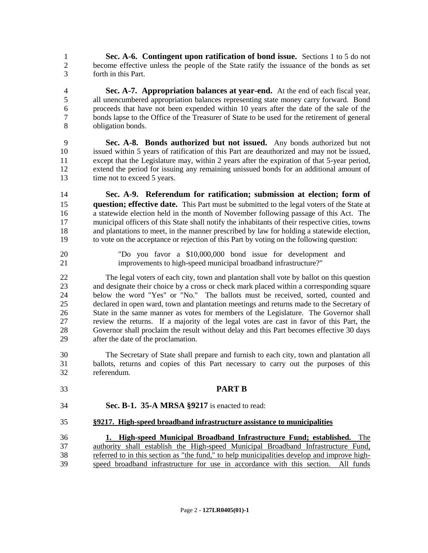**Sec. A-6. Contingent upon ratification of bond issue.** Sections 1 to 5 do not become effective unless the people of the State ratify the issuance of the bonds as set forth in this Part.

 **Sec. A-7. Appropriation balances at year-end.** At the end of each fiscal year, all unencumbered appropriation balances representing state money carry forward. Bond proceeds that have not been expended within 10 years after the date of the sale of the bonds lapse to the Office of the Treasurer of State to be used for the retirement of general obligation bonds.

 **Sec. A-8. Bonds authorized but not issued.** Any bonds authorized but not issued within 5 years of ratification of this Part are deauthorized and may not be issued, except that the Legislature may, within 2 years after the expiration of that 5-year period, extend the period for issuing any remaining unissued bonds for an additional amount of 13 time not to exceed 5 years.

 **Sec. A-9. Referendum for ratification; submission at election; form of question; effective date.** This Part must be submitted to the legal voters of the State at a statewide election held in the month of November following passage of this Act. The municipal officers of this State shall notify the inhabitants of their respective cities, towns and plantations to meet, in the manner prescribed by law for holding a statewide election, to vote on the acceptance or rejection of this Part by voting on the following question:

 "Do you favor a \$10,000,000 bond issue for development and improvements to high-speed municipal broadband infrastructure?"

 The legal voters of each city, town and plantation shall vote by ballot on this question and designate their choice by a cross or check mark placed within a corresponding square 24 below the word "Yes" or "No." The ballots must be received, sorted, counted and declared in open ward, town and plantation meetings and returns made to the Secretary of declared in open ward, town and plantation meetings and returns made to the Secretary of State in the same manner as votes for members of the Legislature. The Governor shall review the returns. If a majority of the legal votes are cast in favor of this Part, the Governor shall proclaim the result without delay and this Part becomes effective 30 days after the date of the proclamation.

 The Secretary of State shall prepare and furnish to each city, town and plantation all ballots, returns and copies of this Part necessary to carry out the purposes of this referendum.

 **PART B Sec. B-1. 35-A MRSA §9217** is enacted to read: **§9217. High-speed broadband infrastructure assistance to municipalities 1. High-speed Municipal Broadband Infrastructure Fund; established.** The authority shall establish the High-speed Municipal Broadband Infrastructure Fund, referred to in this section as "the fund," to help municipalities develop and improve high-speed broadband infrastructure for use in accordance with this section. All funds